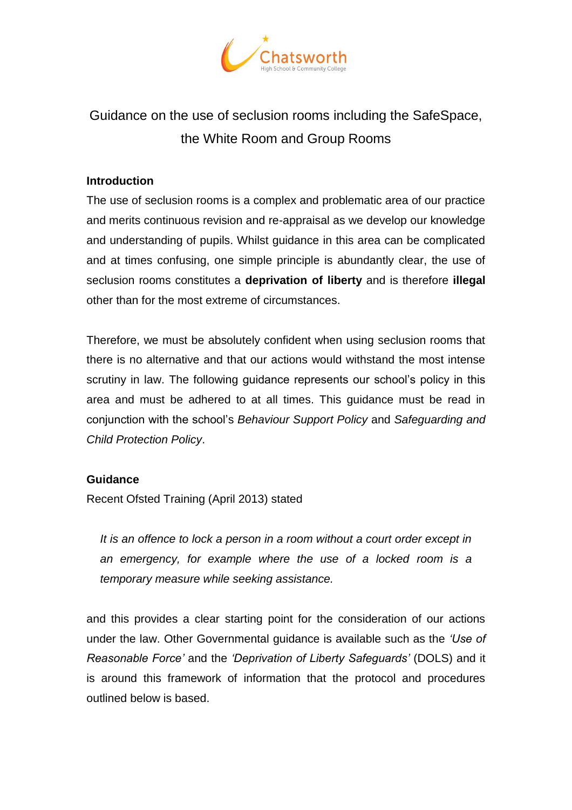

# Guidance on the use of seclusion rooms including the SafeSpace, the White Room and Group Rooms

# **Introduction**

The use of seclusion rooms is a complex and problematic area of our practice and merits continuous revision and re-appraisal as we develop our knowledge and understanding of pupils. Whilst guidance in this area can be complicated and at times confusing, one simple principle is abundantly clear, the use of seclusion rooms constitutes a **deprivation of liberty** and is therefore **illegal**  other than for the most extreme of circumstances.

Therefore, we must be absolutely confident when using seclusion rooms that there is no alternative and that our actions would withstand the most intense scrutiny in law. The following guidance represents our school's policy in this area and must be adhered to at all times. This guidance must be read in conjunction with the school's *Behaviour Support Policy* and *Safeguarding and Child Protection Policy*.

### **Guidance**

Recent Ofsted Training (April 2013) stated

*It is an offence to lock a person in a room without a court order except in an emergency, for example where the use of a locked room is a temporary measure while seeking assistance.*

and this provides a clear starting point for the consideration of our actions under the law. Other Governmental guidance is available such as the *'Use of Reasonable Force'* and the *'Deprivation of Liberty Safeguards'* (DOLS) and it is around this framework of information that the protocol and procedures outlined below is based.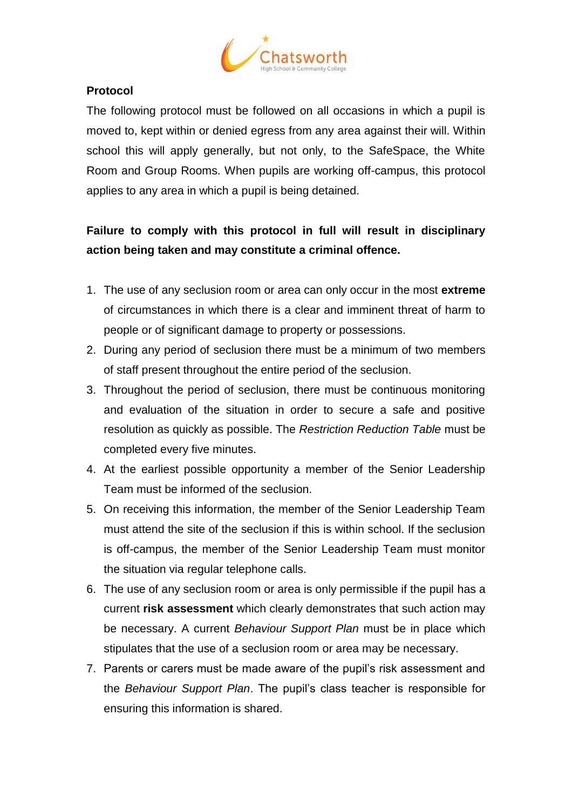

# **Protocol**

The following protocol must be followed on all occasions in which a pupil is moved to, kept within or denied egress from any area against their will. Within school this will apply generally, but not only, to the SafeSpace, the White Room and Group Rooms. When pupils are working off-campus, this protocol applies to any area in which a pupil is being detained.

# **Failure to comply with this protocol in full will result in disciplinary action being taken and may constitute a criminal offence.**

- 1. The use of any seclusion room or area can only occur in the most **extreme**  of circumstances in which there is a clear and imminent threat of harm to people or of significant damage to property or possessions.
- 2. During any period of seclusion there must be a minimum of two members of staff present throughout the entire period of the seclusion.
- 3. Throughout the period of seclusion, there must be continuous monitoring and evaluation of the situation in order to secure a safe and positive resolution as quickly as possible. The *Restriction Reduction Table* must be completed every five minutes.
- 4. At the earliest possible opportunity a member of the Senior Leadership Team must be informed of the seclusion.
- 5. On receiving this information, the member of the Senior Leadership Team must attend the site of the seclusion if this is within school. If the seclusion is off-campus, the member of the Senior Leadership Team must monitor the situation via regular telephone calls.
- 6. The use of any seclusion room or area is only permissible if the pupil has a current **risk assessment** which clearly demonstrates that such action may be necessary. A current *Behaviour Support Plan* must be in place which stipulates that the use of a seclusion room or area may be necessary.
- 7. Parents or carers must be made aware of the pupil's risk assessment and the *Behaviour Support Plan*. The pupil's class teacher is responsible for ensuring this information is shared.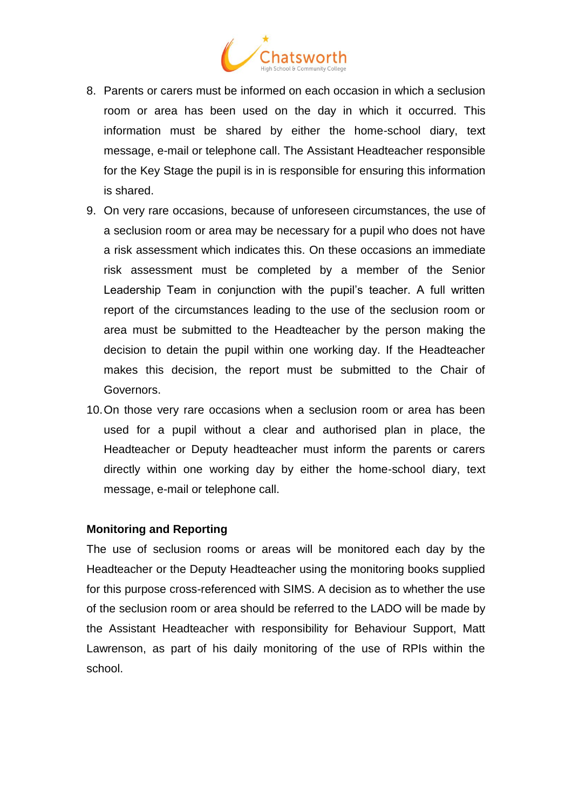

- 8. Parents or carers must be informed on each occasion in which a seclusion room or area has been used on the day in which it occurred. This information must be shared by either the home-school diary, text message, e-mail or telephone call. The Assistant Headteacher responsible for the Key Stage the pupil is in is responsible for ensuring this information is shared.
- 9. On very rare occasions, because of unforeseen circumstances, the use of a seclusion room or area may be necessary for a pupil who does not have a risk assessment which indicates this. On these occasions an immediate risk assessment must be completed by a member of the Senior Leadership Team in conjunction with the pupil's teacher. A full written report of the circumstances leading to the use of the seclusion room or area must be submitted to the Headteacher by the person making the decision to detain the pupil within one working day. If the Headteacher makes this decision, the report must be submitted to the Chair of Governors.
- 10.On those very rare occasions when a seclusion room or area has been used for a pupil without a clear and authorised plan in place, the Headteacher or Deputy headteacher must inform the parents or carers directly within one working day by either the home-school diary, text message, e-mail or telephone call.

### **Monitoring and Reporting**

The use of seclusion rooms or areas will be monitored each day by the Headteacher or the Deputy Headteacher using the monitoring books supplied for this purpose cross-referenced with SIMS. A decision as to whether the use of the seclusion room or area should be referred to the LADO will be made by the Assistant Headteacher with responsibility for Behaviour Support, Matt Lawrenson, as part of his daily monitoring of the use of RPIs within the school.